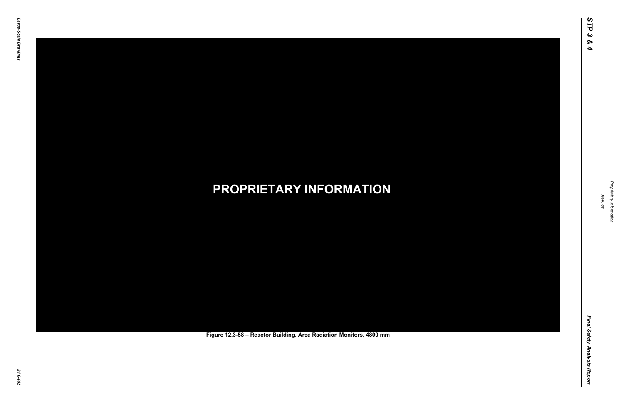Final Safety Analysis Report *Final Safety Analysis Report*



Proprietary Information *Proprietary Information*

#### *21.0-452* **PROPRIETARY INFORMATION Figure 12.3-58 – Reactor Building, Area Radiation Monitors, 4800 mm**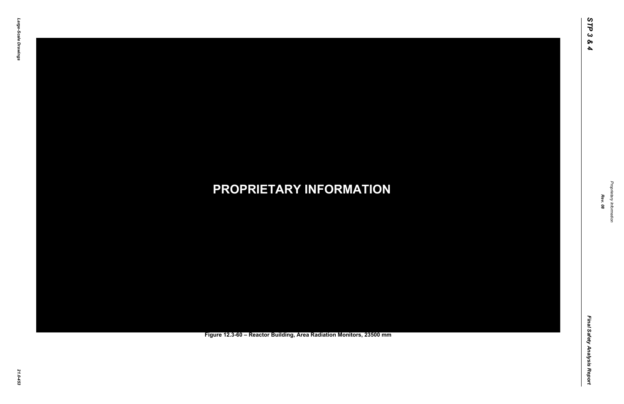Final Safety Analysis Report *Final Safety Analysis Report*



Proprietary Information *Proprietary Information*

#### *21.0-453* **PROPRIETARY INFORMATION Figure 12.3-60 – Reactor Building, Area Radiation Monitors, 23500 mm**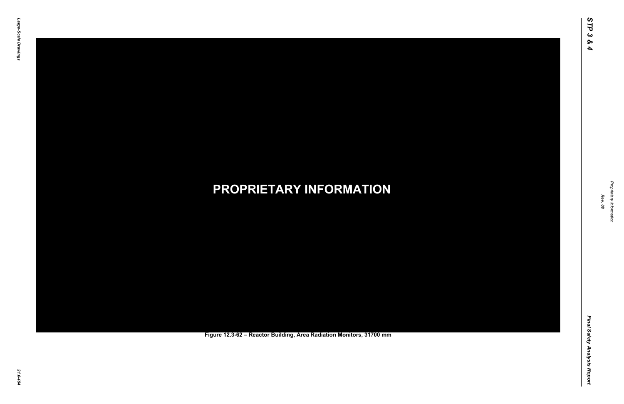Final Safety Analysis Report *Final Safety Analysis Report*



Proprietary Information *Proprietary Information*

#### *21.0-454* **PROPRIETARY INFORMATION Figure 12.3-62 – Reactor Building, Area Radiation Monitors, 31700 mm**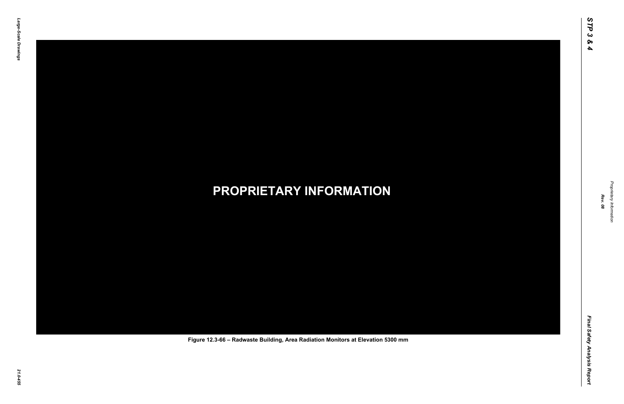Final Safety Analysis Report *Final Safety Analysis Report*



Proprietary Information *Proprietary Information*

#### *21.0-455* **PROPRIETARY INFORMATION Figure 12.3-66 – Radwaste Building, Area Radiation Monitors at Elevation 5300 mm**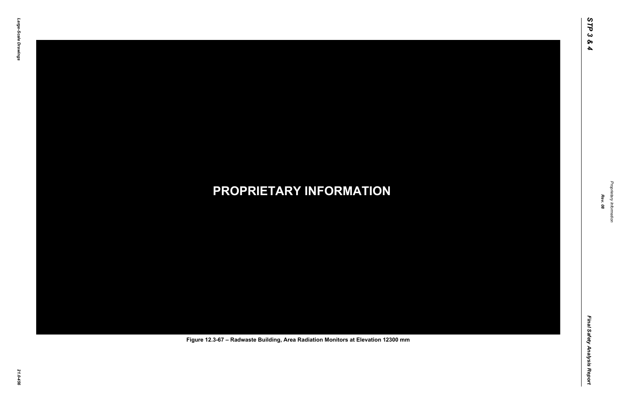Final Safety Analysis Report *Final Safety Analysis Report*



Proprietary Information *Proprietary Information*

#### *21.0-456* **PROPRIETARY INFORMATION Figure 12.3-67 – Radwaste Building, Area Radiation Monitors at Elevation 12300 mm**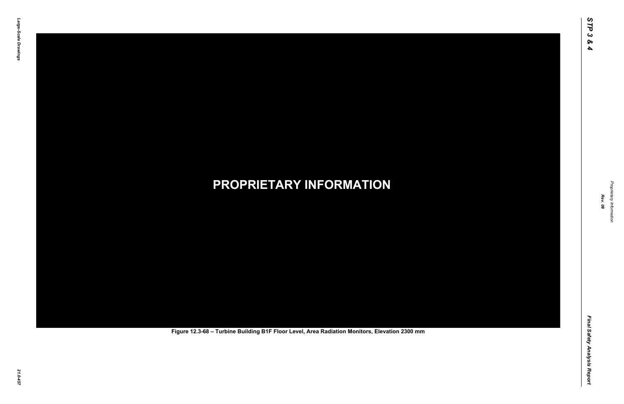Final Safety Analysis Report *Final Safety Analysis Report*



Proprietary Information *Proprietary Information*

# *21.0-457* **PROPRIETARY INFORMATION Figure 12.3-68 – Turbine Building B1F Floor Level, Area Radiation Monitors, Elevation 2300 mm**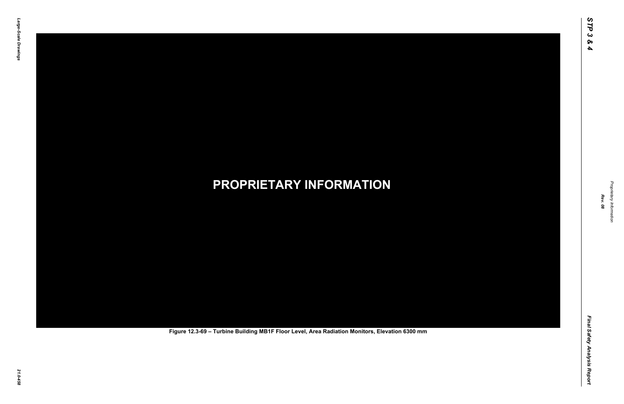Final Safety Analysis Report *Final Safety Analysis Report*



Proprietary Information *Proprietary Information*

# *21.0-458* **PROPRIETARY INFORMATION Figure 12.3-69 – Turbine Building MB1F Floor Level, Area Radiation Monitors, Elevation 6300 mm**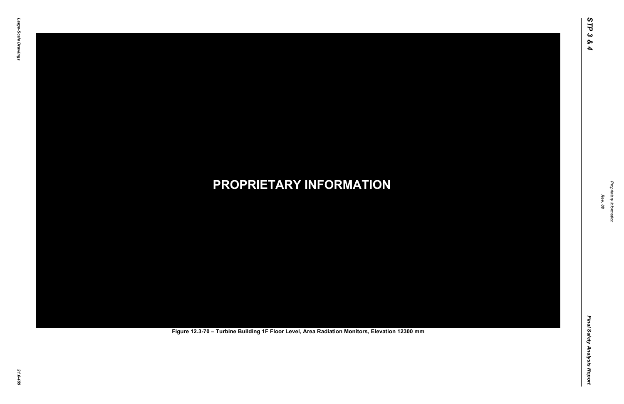Final Safety Analysis Report *Final Safety Analysis Report*



Proprietary Information *Proprietary Information*

# *21.0-459* **PROPRIETARY INFORMATION Figure 12.3-70 – Turbine Building 1F Floor Level, Area Radiation Monitors, Elevation 12300 mm**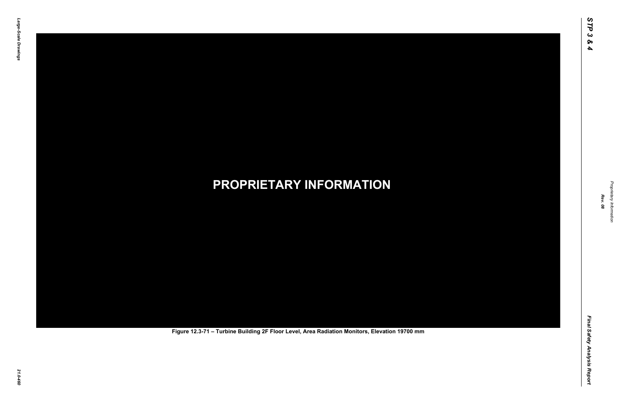Final Safety Analysis Report *Final Safety Analysis Report*



Proprietary Information *Proprietary Information*

# *21.0-460* **PROPRIETARY INFORMATION Figure 12.3-71 – Turbine Building 2F Floor Level, Area Radiation Monitors, Elevation 19700 mm**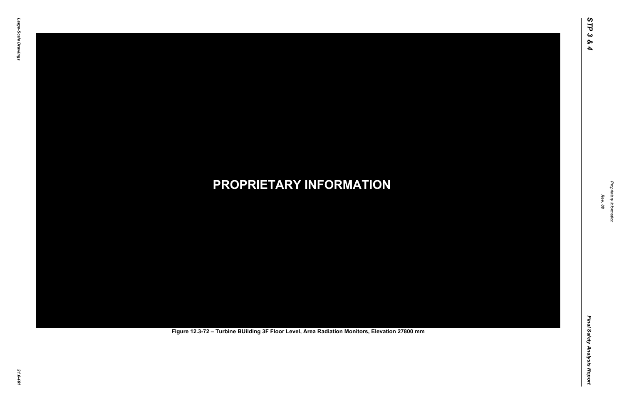Final Safety Analysis Report *Final Safety Analysis Report*



Proprietary Information *Proprietary Information*

# *21.0-461* **PROPRIETARY INFORMATION Figure 12.3-72 – Turbine BUilding 3F Floor Level, Area Radiation Monitors, Elevation 27800 mm**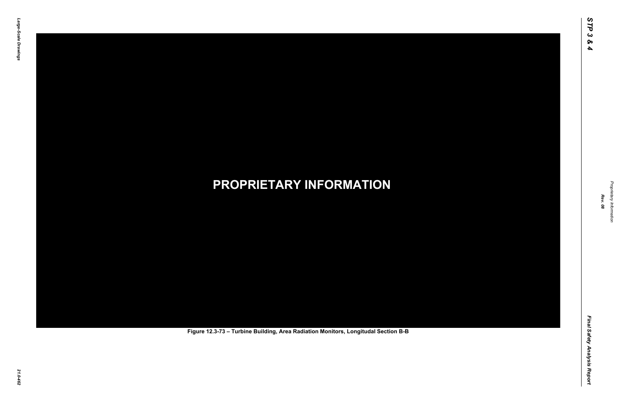Final Safety Analysis Report *Final Safety Analysis Report*



Proprietary Information *Proprietary Information*

# *21.0-462* **PROPRIETARY INFORMATION Figure 12.3-73 – Turbine Building, Area Radiation Monitors, Longitudal Section B-B**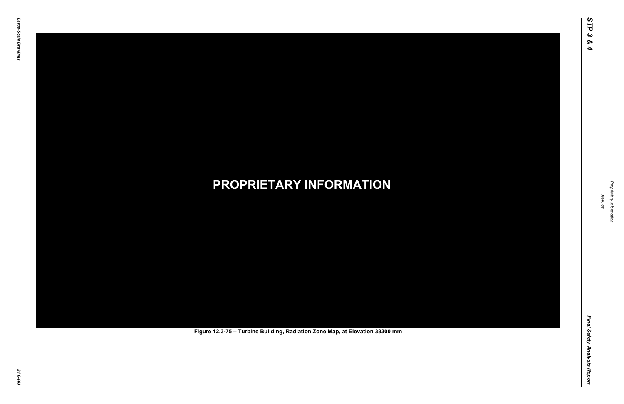Final Safety Analysis Report *Final Safety Analysis Report*



Proprietary Information *Proprietary Information*

# *21.0-463* **PROPRIETARY INFORMATION Figure 12.3-75 – Turbine Building, Radiation Zone Map, at Elevation 38300 mm**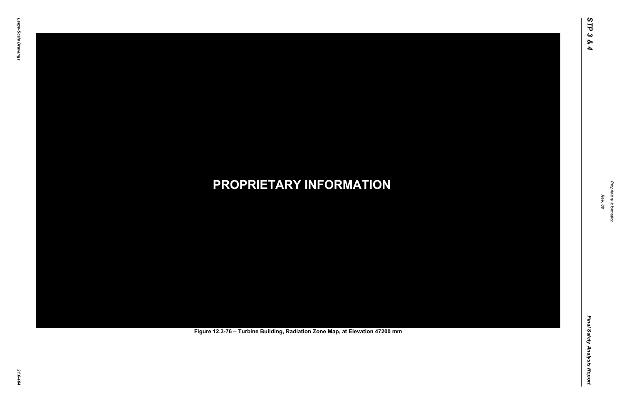Final Safety Analysis Report *Final Safety Analysis Report*



Proprietary Information *Proprietary Information*

# *21.0-464* **PROPRIETARY INFORMATION Figure 12.3-76 – Turbine Building, Radiation Zone Map, at Elevation 47200 mm**